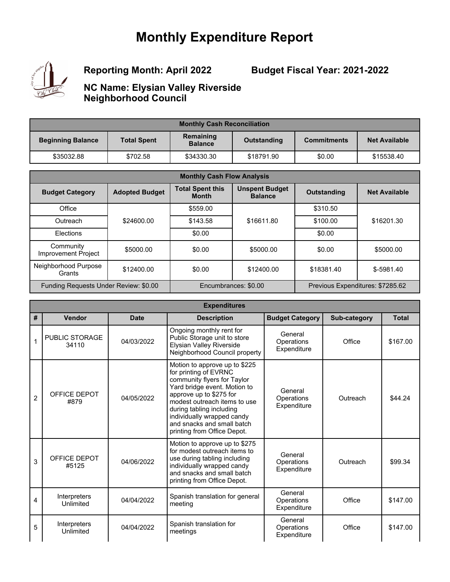## **Monthly Expenditure Report**



**Reporting Month: April 2022**

**Budget Fiscal Year: 2021-2022**

**NC Name: Elysian Valley Riverside Neighborhood Council**

| <b>Monthly Cash Reconciliation</b> |                    |                             |             |                    |                      |  |
|------------------------------------|--------------------|-----------------------------|-------------|--------------------|----------------------|--|
| <b>Beginning Balance</b>           | <b>Total Spent</b> | Remaining<br><b>Balance</b> | Outstanding | <b>Commitments</b> | <b>Net Available</b> |  |
| \$35032.88                         | \$702.58           | \$34330.30                  | \$18791.90  | \$0.00             | \$15538.40           |  |

| <b>Monthly Cash Flow Analysis</b>     |                       |                                         |                                         |                                  |                      |  |
|---------------------------------------|-----------------------|-----------------------------------------|-----------------------------------------|----------------------------------|----------------------|--|
| <b>Budget Category</b>                | <b>Adopted Budget</b> | <b>Total Spent this</b><br><b>Month</b> | <b>Unspent Budget</b><br><b>Balance</b> | <b>Outstanding</b>               | <b>Net Available</b> |  |
| Office                                |                       | \$559.00                                |                                         | \$310.50                         |                      |  |
| Outreach                              | \$24600.00            | \$143.58                                | \$16611.80                              | \$100.00                         | \$16201.30           |  |
| Elections                             |                       | \$0.00                                  |                                         | \$0.00                           |                      |  |
| Community<br>Improvement Project      | \$5000.00             | \$0.00                                  | \$5000.00                               | \$0.00                           | \$5000.00            |  |
| Neighborhood Purpose<br>Grants        | \$12400.00            | \$0.00                                  | \$12400.00                              | \$18381.40                       | $$-5981.40$          |  |
| Funding Requests Under Review: \$0.00 |                       | Encumbrances: \$0.00                    |                                         | Previous Expenditures: \$7285.62 |                      |  |

|                | <b>Expenditures</b>       |             |                                                                                                                                                                                                                                                                                                         |                                      |              |              |  |  |
|----------------|---------------------------|-------------|---------------------------------------------------------------------------------------------------------------------------------------------------------------------------------------------------------------------------------------------------------------------------------------------------------|--------------------------------------|--------------|--------------|--|--|
| #              | Vendor                    | <b>Date</b> | <b>Description</b>                                                                                                                                                                                                                                                                                      | <b>Budget Category</b>               | Sub-category | <b>Total</b> |  |  |
| 1              | PUBLIC STORAGE<br>34110   | 04/03/2022  | Ongoing monthly rent for<br>Public Storage unit to store<br><b>Elysian Valley Riverside</b><br>Neighborhood Council property                                                                                                                                                                            | General<br>Operations<br>Expenditure | Office       | \$167.00     |  |  |
| $\overline{2}$ | OFFICE DEPOT<br>#879      | 04/05/2022  | Motion to approve up to \$225<br>for printing of EVRNC<br>community flyers for Taylor<br>Yard bridge event. Motion to<br>approve up to \$275 for<br>modest outreach items to use<br>during tabling including<br>individually wrapped candy<br>and snacks and small batch<br>printing from Office Depot. | General<br>Operations<br>Expenditure | Outreach     | \$44.24      |  |  |
| 3              | OFFICE DEPOT<br>#5125     | 04/06/2022  | Motion to approve up to \$275<br>for modest outreach items to<br>use during tabling including<br>individually wrapped candy<br>and snacks and small batch<br>printing from Office Depot.                                                                                                                | General<br>Operations<br>Expenditure | Outreach     | \$99.34      |  |  |
| 4              | Interpreters<br>Unlimited | 04/04/2022  | Spanish translation for general<br>meeting                                                                                                                                                                                                                                                              | General<br>Operations<br>Expenditure | Office       | \$147.00     |  |  |
| 5              | Interpreters<br>Unlimited | 04/04/2022  | Spanish translation for<br>meetings                                                                                                                                                                                                                                                                     | General<br>Operations<br>Expenditure | Office       | \$147.00     |  |  |